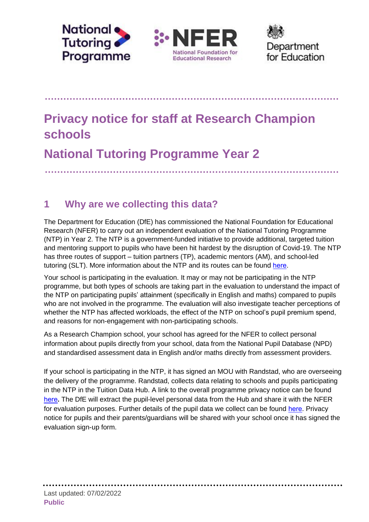





......................

# **Privacy notice for staff at Research Champion schools**

**National Tutoring Programme Year 2** 

# **1 Why are we collecting this data?**

The Department for Education (DfE) has commissioned the National Foundation for Educational Research (NFER) to carry out an independent evaluation of the National Tutoring Programme (NTP) in Year 2. The NTP is a government-funded initiative to provide additional, targeted tuition and mentoring support to pupils who have been hit hardest by the disruption of Covid-19. The NTP has three routes of support – tuition partners (TP), academic mentors (AM), and school-led tutoring (SLT). More information about the NTP and its routes can be found [here](https://nationaltutoring.org.uk/).

Your school is participating in the evaluation. It may or may not be participating in the NTP programme, but both types of schools are taking part in the evaluation to understand the impact of the NTP on participating pupils' attainment (specifically in English and maths) compared to pupils who are not involved in the programme. The evaluation will also investigate teacher perceptions of whether the NTP has affected workloads, the effect of the NTP on school's pupil premium spend, and reasons for non-engagement with non-participating schools.

As a Research Champion school, your school has agreed for the NFER to collect personal information about pupils directly from your school, data from the National Pupil Database (NPD) and standardised assessment data in English and/or maths directly from assessment providers.

If your school is participating in the NTP, it has signed an MOU with Randstad, who are overseeing the delivery of the programme. Randstad, collects data relating to schools and pupils participating in the NTP in the Tuition Data Hub. A link to the overall programme privacy notice can be found [here](https://nationaltutoring.org.uk/legal/privacy-notice/#:~:text=Privacy%20notice%20The%20National%20Tutoring%20Programme%20%28NTP%29%20respects,27%20August%2C%202021%20Last%20updated%2025%20October%2C%202021)**.** The DfE will extract the pupil-level personal data from the Hub and share it with the NFER for evaluation purposes. Further details of the pupil data we collect can be found [here](http://www.nfer.ac.uk/media/4719/eetq_parent_privacy_notice_research_champion_schools.pdf). Privacy notice for pupils and their parents/guardians will be shared with your school once it has signed the evaluation sign-up form.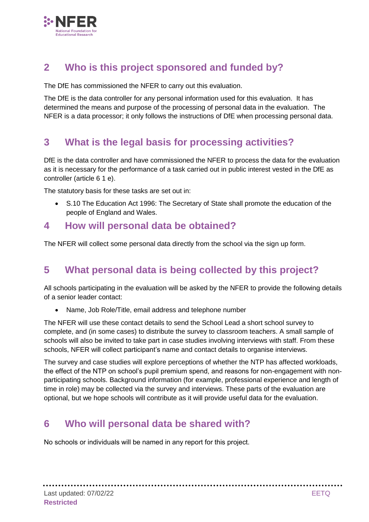

# **2 Who is this project sponsored and funded by?**

The DfE has commissioned the NFER to carry out this evaluation.

The DfE is the data controller for any personal information used for this evaluation. It has determined the means and purpose of the processing of personal data in the evaluation. The NFER is a data processor; it only follows the instructions of DfE when processing personal data.

## **3 What is the legal basis for processing activities?**

DfE is the data controller and have commissioned the NFER to process the data for the evaluation as it is necessary for the performance of a task carried out in public interest vested in the DfE as controller (article 6 1 e).

The statutory basis for these tasks are set out in:

 S.10 The Education Act 1996: The Secretary of State shall promote the education of the people of England and Wales.

#### **4 How will personal data be obtained?**

The NFER will collect some personal data directly from the school via the sign up form.

## **5 What personal data is being collected by this project?**

All schools participating in the evaluation will be asked by the NFER to provide the following details of a senior leader contact:

Name, Job Role/Title, email address and telephone number

The NFER will use these contact details to send the School Lead a short school survey to complete, and (in some cases) to distribute the survey to classroom teachers. A small sample of schools will also be invited to take part in case studies involving interviews with staff. From these schools, NFER will collect participant's name and contact details to organise interviews.

The survey and case studies will explore perceptions of whether the NTP has affected workloads, the effect of the NTP on school's pupil premium spend, and reasons for non-engagement with nonparticipating schools. Background information (for example, professional experience and length of time in role) may be collected via the survey and interviews. These parts of the evaluation are optional, but we hope schools will contribute as it will provide useful data for the evaluation.

## **6 Who will personal data be shared with?**

No schools or individuals will be named in any report for this project.

. . . . . . .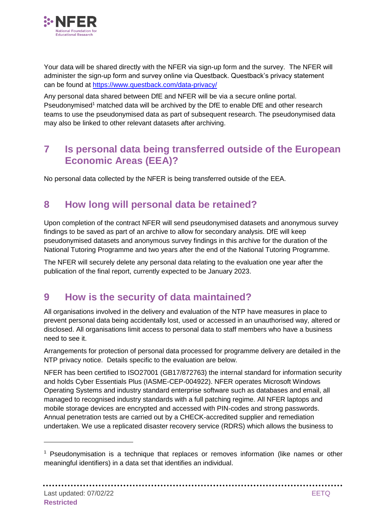

Your data will be shared directly with the NFER via sign-up form and the survey. The NFER will administer the sign-up form and survey online via Questback. Questback's privacy statement can be found at <https://www.questback.com/data-privacy/>

Any personal data shared between DfE and NFER will be via a secure online portal. Pseudonymised<sup>1</sup> matched data will be archived by the DfE to enable DfE and other research teams to use the pseudonymised data as part of subsequent research. The pseudonymised data may also be linked to other relevant datasets after archiving.

#### **7 Is personal data being transferred outside of the European Economic Areas (EEA)?**

No personal data collected by the NFER is being transferred outside of the EEA.

#### **8 How long will personal data be retained?**

Upon completion of the contract NFER will send pseudonymised datasets and anonymous survey findings to be saved as part of an archive to allow for secondary analysis. DfE will keep pseudonymised datasets and anonymous survey findings in this archive for the duration of the National Tutoring Programme and two years after the end of the National Tutoring Programme.

The NFER will securely delete any personal data relating to the evaluation one year after the publication of the final report, currently expected to be January 2023.

## **9 How is the security of data maintained?**

All organisations involved in the delivery and evaluation of the NTP have measures in place to prevent personal data being accidentally lost, used or accessed in an unauthorised way, altered or disclosed. All organisations limit access to personal data to staff members who have a business need to see it.

Arrangements for protection of personal data processed for programme delivery are detailed in the NTP privacy notice. Details specific to the evaluation are below.

NFER has been certified to ISO27001 (GB17/872763) the internal standard for information security and holds Cyber Essentials Plus (IASME-CEP-004922). NFER operates Microsoft Windows Operating Systems and industry standard enterprise software such as databases and email, all managed to recognised industry standards with a full patching regime. All NFER laptops and mobile storage devices are encrypted and accessed with PIN-codes and strong passwords. Annual penetration tests are carried out by a CHECK-accredited supplier and remediation undertaken. We use a replicated disaster recovery service (RDRS) which allows the business to

**\*\*\*\*\*\*\*\*\*\*\*\*\*** 

. . . . . . . . . . .

<sup>&</sup>lt;sup>1</sup> Pseudonymisation is a technique that replaces or removes information (like names or other meaningful identifiers) in a data set that identifies an individual.